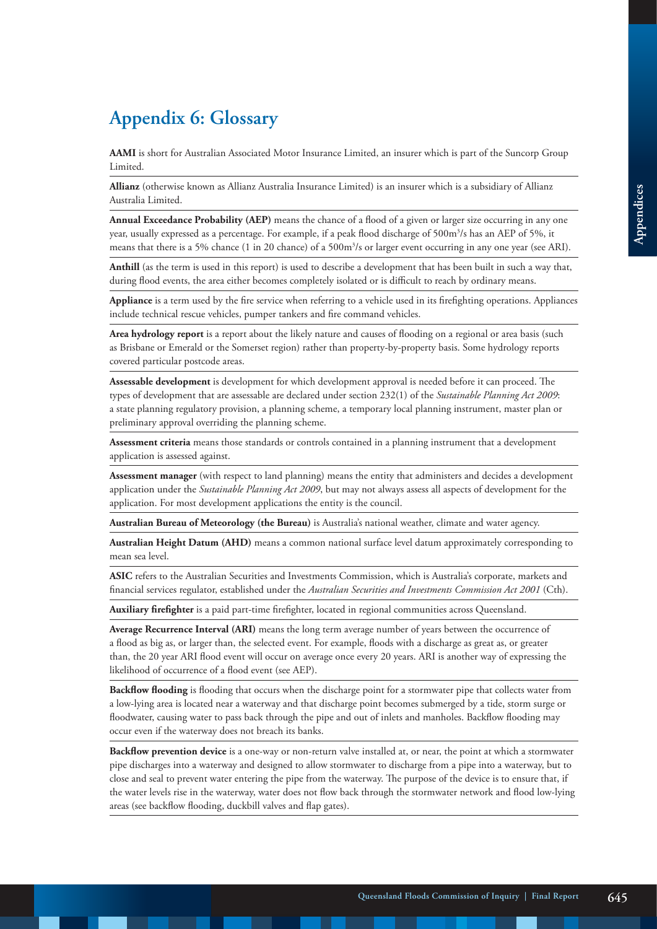## **Appendix 6: Glossary**

**AAMI** is short for Australian Associated Motor Insurance Limited, an insurer which is part of the Suncorp Group Limited.

**Allianz** (otherwise known as Allianz Australia Insurance Limited) is an insurer which is a subsidiary of Allianz Australia Limited.

**Annual Exceedance Probability (AEP)** means the chance of a flood of a given or larger size occurring in any one year, usually expressed as a percentage. For example, if a peak flood discharge of 500m $^3\!/$ s has an AEP of 5%, it means that there is a 5% chance (1 in 20 chance) of a 500m<sup>3</sup>/s or larger event occurring in any one year (see ARI).

**Anthill** (as the term is used in this report) is used to describe a development that has been built in such a way that, during flood events, the area either becomes completely isolated or is difficult to reach by ordinary means.

**Appliance** is a term used by the fire service when referring to a vehicle used in its firefighting operations. Appliances include technical rescue vehicles, pumper tankers and fire command vehicles.

**Area hydrology report** is a report about the likely nature and causes of flooding on a regional or area basis (such as Brisbane or Emerald or the Somerset region) rather than property-by-property basis. Some hydrology reports covered particular postcode areas.

**Assessable development** is development for which development approval is needed before it can proceed. The types of development that are assessable are declared under section 232(1) of the *Sustainable Planning Act 2009*: a state planning regulatory provision, a planning scheme, a temporary local planning instrument, master plan or preliminary approval overriding the planning scheme.

**Assessment criteria** means those standards or controls contained in a planning instrument that a development application is assessed against.

**Assessment manager** (with respect to land planning) means the entity that administers and decides a development application under the *Sustainable Planning Act 2009*, but may not always assess all aspects of development for the application. For most development applications the entity is the council.

**Australian Bureau of Meteorology (the Bureau)** is Australia's national weather, climate and water agency.

**Australian Height Datum (AHD)** means a common national surface level datum approximately corresponding to mean sea level.

**ASIC** refers to the Australian Securities and Investments Commission, which is Australia's corporate, markets and financial services regulator, established under the *Australian Securities and Investments Commission Act 2001* (Cth).

**Auxiliary firefighter** is a paid part-time firefighter, located in regional communities across Queensland.

**Average Recurrence Interval (ARI)** means the long term average number of years between the occurrence of a flood as big as, or larger than, the selected event. For example, floods with a discharge as great as, or greater than, the 20 year ARI flood event will occur on average once every 20 years. ARI is another way of expressing the likelihood of occurrence of a flood event (see AEP).

**Backflow flooding** is flooding that occurs when the discharge point for a stormwater pipe that collects water from a low-lying area is located near a waterway and that discharge point becomes submerged by a tide, storm surge or floodwater, causing water to pass back through the pipe and out of inlets and manholes. Backflow flooding may occur even if the waterway does not breach its banks.

**Backflow prevention device** is a one-way or non-return valve installed at, or near, the point at which a stormwater pipe discharges into a waterway and designed to allow stormwater to discharge from a pipe into a waterway, but to close and seal to prevent water entering the pipe from the waterway. The purpose of the device is to ensure that, if the water levels rise in the waterway, water does not flow back through the stormwater network and flood low-lying areas (see backflow flooding, duckbill valves and flap gates).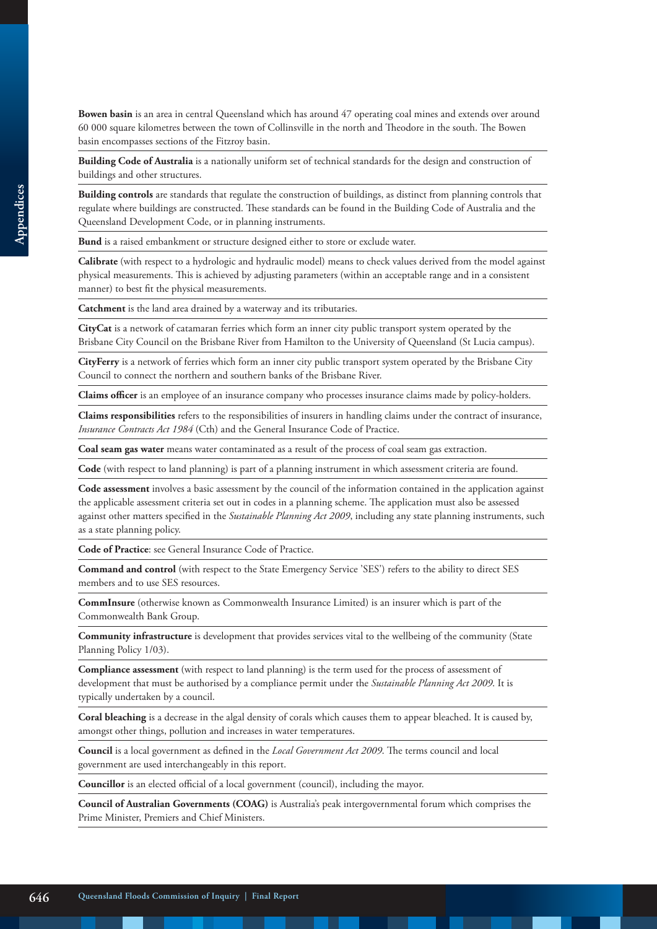**Bowen basin** is an area in central Queensland which has around 47 operating coal mines and extends over around 60 000 square kilometres between the town of Collinsville in the north and Theodore in the south. The Bowen basin encompasses sections of the Fitzroy basin.

**Building Code of Australia** is a nationally uniform set of technical standards for the design and construction of buildings and other structures.

**Building controls** are standards that regulate the construction of buildings, as distinct from planning controls that regulate where buildings are constructed. These standards can be found in the Building Code of Australia and the Queensland Development Code, or in planning instruments.

**Bund** is a raised embankment or structure designed either to store or exclude water.

**Calibrate** (with respect to a hydrologic and hydraulic model) means to check values derived from the model against physical measurements. This is achieved by adjusting parameters (within an acceptable range and in a consistent manner) to best fit the physical measurements.

**Catchment** is the land area drained by a waterway and its tributaries.

**CityCat** is a network of catamaran ferries which form an inner city public transport system operated by the Brisbane City Council on the Brisbane River from Hamilton to the University of Queensland (St Lucia campus).

**CityFerry** is a network of ferries which form an inner city public transport system operated by the Brisbane City Council to connect the northern and southern banks of the Brisbane River.

**Claims officer** is an employee of an insurance company who processes insurance claims made by policy-holders.

**Claims responsibilities** refers to the responsibilities of insurers in handling claims under the contract of insurance, *Insurance Contracts Act 1984* (Cth) and the General Insurance Code of Practice.

**Coal seam gas water** means water contaminated as a result of the process of coal seam gas extraction.

**Code** (with respect to land planning) is part of a planning instrument in which assessment criteria are found.

**Code assessment** involves a basic assessment by the council of the information contained in the application against the applicable assessment criteria set out in codes in a planning scheme. The application must also be assessed against other matters specified in the *Sustainable Planning Act 2009*, including any state planning instruments, such as a state planning policy.

**Code of Practice**: see General Insurance Code of Practice.

**Command and control** (with respect to the State Emergency Service 'SES') refers to the ability to direct SES members and to use SES resources.

**CommInsure** (otherwise known as Commonwealth Insurance Limited) is an insurer which is part of the Commonwealth Bank Group.

**Community infrastructure** is development that provides services vital to the wellbeing of the community (State Planning Policy 1/03).

**Compliance assessment** (with respect to land planning) is the term used for the process of assessment of development that must be authorised by a compliance permit under the *Sustainable Planning Act 2009*. It is typically undertaken by a council.

**Coral bleaching** is a decrease in the algal density of corals which causes them to appear bleached. It is caused by, amongst other things, pollution and increases in water temperatures.

**Council** is a local government as defined in the *Local Government Act 2009*. The terms council and local government are used interchangeably in this report.

**Councillor** is an elected official of a local government (council), including the mayor.

**Council of Australian Governments (COAG)** is Australia's peak intergovernmental forum which comprises the Prime Minister, Premiers and Chief Ministers.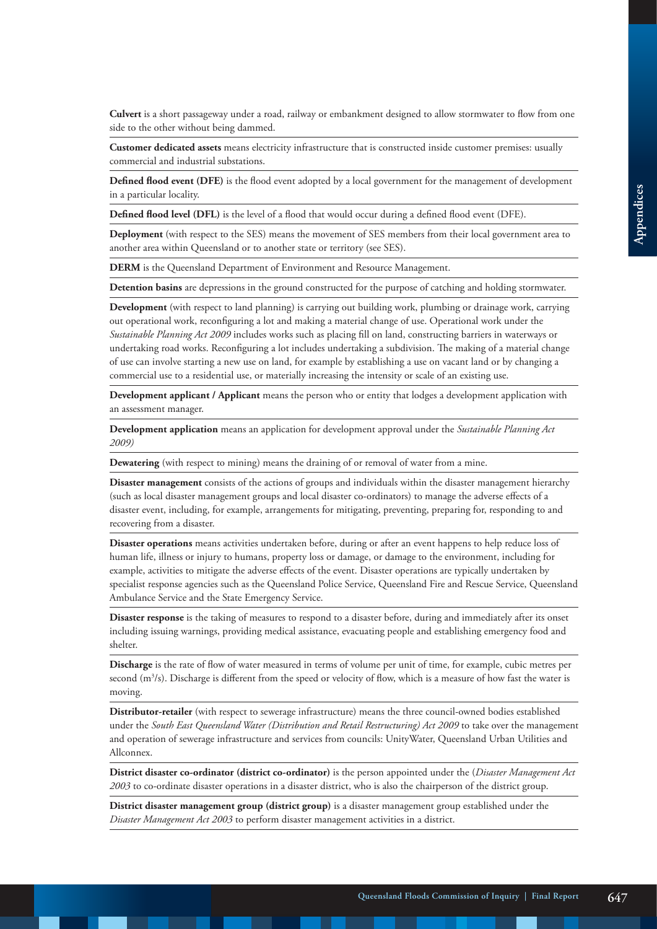**Culvert** is a short passageway under a road, railway or embankment designed to allow stormwater to flow from one side to the other without being dammed.

**Customer dedicated assets** means electricity infrastructure that is constructed inside customer premises: usually commercial and industrial substations.

**Defined flood event (DFE)** is the flood event adopted by a local government for the management of development in a particular locality.

**Defined flood level (DFL)** is the level of a flood that would occur during a defined flood event (DFE).

**Deployment** (with respect to the SES) means the movement of SES members from their local government area to another area within Queensland or to another state or territory (see SES).

**DERM** is the Queensland Department of Environment and Resource Management.

**Detention basins** are depressions in the ground constructed for the purpose of catching and holding stormwater.

**Development** (with respect to land planning) is carrying out building work, plumbing or drainage work, carrying out operational work, reconfiguring a lot and making a material change of use. Operational work under the *Sustainable Planning Act 2009* includes works such as placing fill on land, constructing barriers in waterways or undertaking road works. Reconfiguring a lot includes undertaking a subdivision. The making of a material change of use can involve starting a new use on land, for example by establishing a use on vacant land or by changing a commercial use to a residential use, or materially increasing the intensity or scale of an existing use.

**Development applicant / Applicant** means the person who or entity that lodges a development application with an assessment manager.

**Development application** means an application for development approval under the *Sustainable Planning Act 2009)*

**Dewatering** (with respect to mining) means the draining of or removal of water from a mine.

**Disaster management** consists of the actions of groups and individuals within the disaster management hierarchy (such as local disaster management groups and local disaster co-ordinators) to manage the adverse effects of a disaster event, including, for example, arrangements for mitigating, preventing, preparing for, responding to and recovering from a disaster.

**Disaster operations** means activities undertaken before, during or after an event happens to help reduce loss of human life, illness or injury to humans, property loss or damage, or damage to the environment, including for example, activities to mitigate the adverse effects of the event. Disaster operations are typically undertaken by specialist response agencies such as the Queensland Police Service, Queensland Fire and Rescue Service, Queensland Ambulance Service and the State Emergency Service.

**Disaster response** is the taking of measures to respond to a disaster before, during and immediately after its onset including issuing warnings, providing medical assistance, evacuating people and establishing emergency food and shelter.

**Discharge** is the rate of flow of water measured in terms of volume per unit of time, for example, cubic metres per second  $(m<sup>3</sup>/s)$ . Discharge is different from the speed or velocity of flow, which is a measure of how fast the water is moving.

**Distributor-retailer** (with respect to sewerage infrastructure) means the three council-owned bodies established under the *South East Queensland Water (Distribution and Retail Restructuring) Act 2009* to take over the management and operation of sewerage infrastructure and services from councils: UnityWater, Queensland Urban Utilities and Allconnex.

**District disaster co-ordinator (district co-ordinator)** is the person appointed under the (*Disaster Management Act 2003* to co-ordinate disaster operations in a disaster district, who is also the chairperson of the district group.

**District disaster management group (district group)** is a disaster management group established under the *Disaster Management Act 2003* to perform disaster management activities in a district.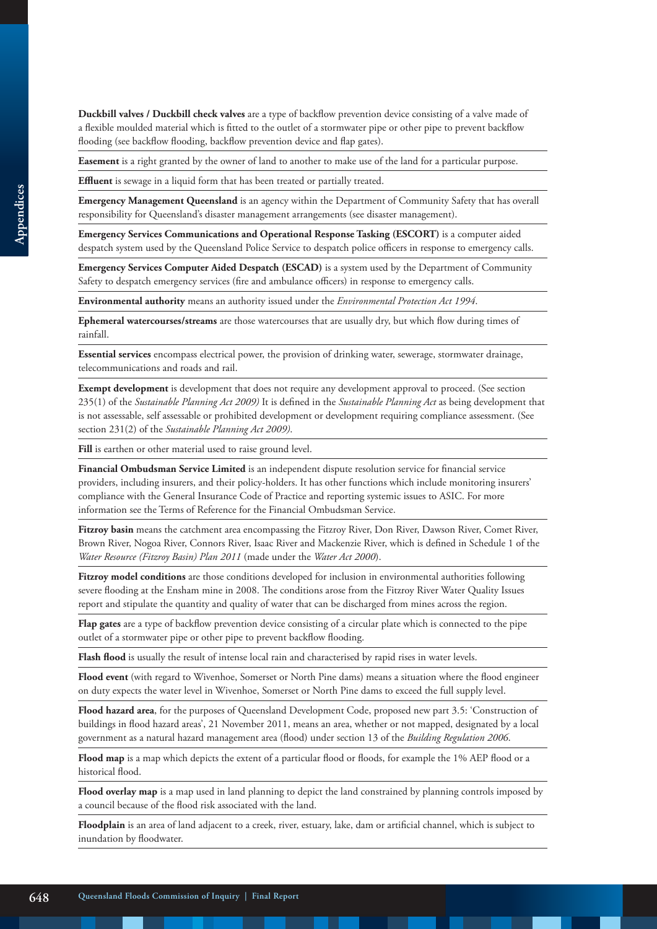**Duckbill valves / Duckbill check valves** are a type of backflow prevention device consisting of a valve made of a flexible moulded material which is fitted to the outlet of a stormwater pipe or other pipe to prevent backflow flooding (see backflow flooding, backflow prevention device and flap gates).

**Easement** is a right granted by the owner of land to another to make use of the land for a particular purpose.

**Effluent** is sewage in a liquid form that has been treated or partially treated.

**Emergency Management Queensland** is an agency within the Department of Community Safety that has overall responsibility for Queensland's disaster management arrangements (see disaster management).

**Emergency Services Communications and Operational Response Tasking (ESCORT)** is a computer aided despatch system used by the Queensland Police Service to despatch police officers in response to emergency calls.

**Emergency Services Computer Aided Despatch (ESCAD)** is a system used by the Department of Community Safety to despatch emergency services (fire and ambulance officers) in response to emergency calls.

**Environmental authority** means an authority issued under the *Environmental Protection Act 1994*.

**Ephemeral watercourses/streams** are those watercourses that are usually dry, but which flow during times of rainfall.

**Essential services** encompass electrical power, the provision of drinking water, sewerage, stormwater drainage, telecommunications and roads and rail.

**Exempt development** is development that does not require any development approval to proceed. (See section 235(1) of the *Sustainable Planning Act 2009)* It is defined in the *Sustainable Planning Act* as being development that is not assessable, self assessable or prohibited development or development requiring compliance assessment. (See section 231(2) of the *Sustainable Planning Act 2009)*.

Fill is earthen or other material used to raise ground level.

**Financial Ombudsman Service Limited** is an independent dispute resolution service for financial service providers, including insurers, and their policy-holders. It has other functions which include monitoring insurers' compliance with the General Insurance Code of Practice and reporting systemic issues to ASIC. For more information see the Terms of Reference for the Financial Ombudsman Service.

Fitzroy basin means the catchment area encompassing the Fitzroy River, Don River, Dawson River, Comet River, Brown River, Nogoa River, Connors River, Isaac River and Mackenzie River, which is defined in Schedule 1 of the *Water Resource (Fitzroy Basin) Plan 2011* (made under the *Water Act 2000*).

**Fitzroy model conditions** are those conditions developed for inclusion in environmental authorities following severe flooding at the Ensham mine in 2008. The conditions arose from the Fitzroy River Water Quality Issues report and stipulate the quantity and quality of water that can be discharged from mines across the region.

**Flap gates** are a type of backflow prevention device consisting of a circular plate which is connected to the pipe outlet of a stormwater pipe or other pipe to prevent backflow flooding.

**Flash flood** is usually the result of intense local rain and characterised by rapid rises in water levels.

**Flood event** (with regard to Wivenhoe, Somerset or North Pine dams) means a situation where the flood engineer on duty expects the water level in Wivenhoe, Somerset or North Pine dams to exceed the full supply level.

**Flood hazard area**, for the purposes of Queensland Development Code, proposed new part 3.5: 'Construction of buildings in flood hazard areas', 21 November 2011, means an area, whether or not mapped, designated by a local government as a natural hazard management area (flood) under section 13 of the *Building Regulation 2006*.

Flood map is a map which depicts the extent of a particular flood or floods, for example the 1% AEP flood or a historical flood.

**Flood overlay map** is a map used in land planning to depict the land constrained by planning controls imposed by a council because of the flood risk associated with the land.

**Floodplain** is an area of land adjacent to a creek, river, estuary, lake, dam or artificial channel, which is subject to inundation by floodwater.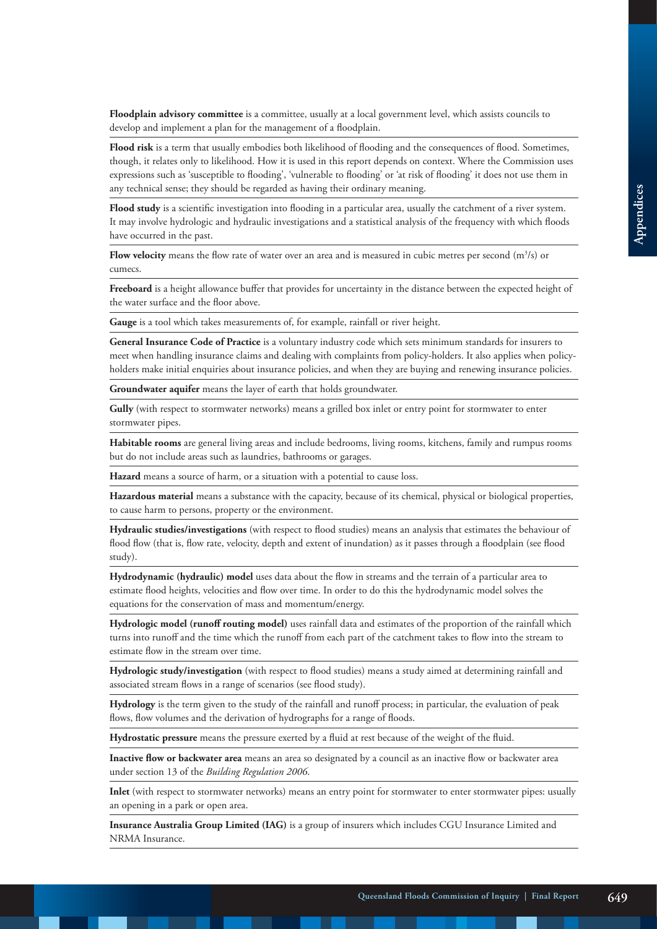**Floodplain advisory committee** is a committee, usually at a local government level, which assists councils to develop and implement a plan for the management of a floodplain.

**Flood risk** is a term that usually embodies both likelihood of flooding and the consequences of flood. Sometimes, though, it relates only to likelihood. How it is used in this report depends on context. Where the Commission uses expressions such as 'susceptible to flooding', 'vulnerable to flooding' or 'at risk of flooding' it does not use them in any technical sense; they should be regarded as having their ordinary meaning.

**Flood study** is a scientific investigation into flooding in a particular area, usually the catchment of a river system. It may involve hydrologic and hydraulic investigations and a statistical analysis of the frequency with which floods have occurred in the past.

**Flow velocity** means the flow rate of water over an area and is measured in cubic metres per second  $(m^3/s)$  or cumecs.

**Freeboard** is a height allowance buffer that provides for uncertainty in the distance between the expected height of the water surface and the floor above.

**Gauge** is a tool which takes measurements of, for example, rainfall or river height.

**General Insurance Code of Practice** is a voluntary industry code which sets minimum standards for insurers to meet when handling insurance claims and dealing with complaints from policy-holders. It also applies when policyholders make initial enquiries about insurance policies, and when they are buying and renewing insurance policies.

**Groundwater aquifer** means the layer of earth that holds groundwater.

**Gully** (with respect to stormwater networks) means a grilled box inlet or entry point for stormwater to enter stormwater pipes.

**Habitable rooms** are general living areas and include bedrooms, living rooms, kitchens, family and rumpus rooms but do not include areas such as laundries, bathrooms or garages.

**Hazard** means a source of harm, or a situation with a potential to cause loss.

**Hazardous material** means a substance with the capacity, because of its chemical, physical or biological properties, to cause harm to persons, property or the environment.

**Hydraulic studies/investigations** (with respect to flood studies) means an analysis that estimates the behaviour of flood flow (that is, flow rate, velocity, depth and extent of inundation) as it passes through a floodplain (see flood study).

**Hydrodynamic (hydraulic) model** uses data about the flow in streams and the terrain of a particular area to estimate flood heights, velocities and flow over time. In order to do this the hydrodynamic model solves the equations for the conservation of mass and momentum/energy.

**Hydrologic model (runoff routing model)** uses rainfall data and estimates of the proportion of the rainfall which turns into runoff and the time which the runoff from each part of the catchment takes to flow into the stream to estimate flow in the stream over time.

**Hydrologic study/investigation** (with respect to flood studies) means a study aimed at determining rainfall and associated stream flows in a range of scenarios (see flood study).

**Hydrology** is the term given to the study of the rainfall and runoff process; in particular, the evaluation of peak flows, flow volumes and the derivation of hydrographs for a range of floods.

**Hydrostatic pressure** means the pressure exerted by a fluid at rest because of the weight of the fluid.

**Inactive flow or backwater area** means an area so designated by a council as an inactive flow or backwater area under section 13 of the *Building Regulation 2006*.

**Inlet** (with respect to stormwater networks) means an entry point for stormwater to enter stormwater pipes: usually an opening in a park or open area.

**Insurance Australia Group Limited (IAG)** is a group of insurers which includes CGU Insurance Limited and NRMA Insurance.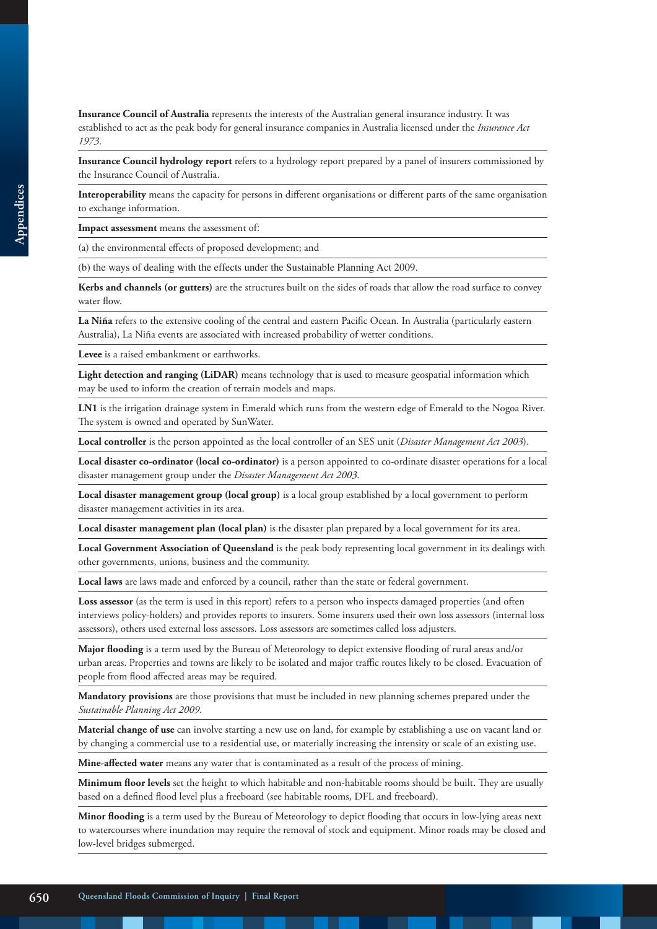**Insurance Council of Australia** represents the interests of the Australian general insurance industry. It was established to act as the peak body for general insurance companies in Australia licensed under the *Insurance Act 1973*.

**Insurance Council hydrology report** refers to a hydrology report prepared by a panel of insurers commissioned by the Insurance Council of Australia.

**Interoperability** means the capacity for persons in different organisations or different parts of the same organisation to exchange information.

**Impact assessment** means the assessment of:

(a) the environmental effects of proposed development; and

(b) the ways of dealing with the effects under the Sustainable Planning Act 2009.

Kerbs and channels (or gutters) are the structures built on the sides of roads that allow the road surface to convey water flow.

**La Niña** refers to the extensive cooling of the central and eastern Pacific Ocean. In Australia (particularly eastern Australia), La Niña events are associated with increased probability of wetter conditions.

**Levee** is a raised embankment or earthworks.

**Light detection and ranging (LiDAR)** means technology that is used to measure geospatial information which may be used to inform the creation of terrain models and maps.

**LN1** is the irrigation drainage system in Emerald which runs from the western edge of Emerald to the Nogoa River. The system is owned and operated by SunWater.

**Local controller** is the person appointed as the local controller of an SES unit (*Disaster Management Act 2003*).

**Local disaster co-ordinator (local co-ordinator)** is a person appointed to co-ordinate disaster operations for a local disaster management group under the *Disaster Management Act 2003*.

**Local disaster management group (local group)** is a local group established by a local government to perform disaster management activities in its area.

**Local disaster management plan (local plan)** is the disaster plan prepared by a local government for its area.

**Local Government Association of Queensland** is the peak body representing local government in its dealings with other governments, unions, business and the community.

**Local laws** are laws made and enforced by a council, rather than the state or federal government.

**Loss assessor** (as the term is used in this report) refers to a person who inspects damaged properties (and often interviews policy-holders) and provides reports to insurers. Some insurers used their own loss assessors (internal loss assessors), others used external loss assessors. Loss assessors are sometimes called loss adjusters.

**Major flooding** is a term used by the Bureau of Meteorology to depict extensive flooding of rural areas and/or urban areas. Properties and towns are likely to be isolated and major traffic routes likely to be closed. Evacuation of people from flood affected areas may be required.

**Mandatory provisions** are those provisions that must be included in new planning schemes prepared under the *Sustainable Planning Act 2009*.

**Material change of use** can involve starting a new use on land, for example by establishing a use on vacant land or by changing a commercial use to a residential use, or materially increasing the intensity or scale of an existing use.

**Mine-affected water** means any water that is contaminated as a result of the process of mining.

**Minimum floor levels** set the height to which habitable and non-habitable rooms should be built. They are usually based on a defined flood level plus a freeboard (see habitable rooms, DFL and freeboard).

**Minor flooding** is a term used by the Bureau of Meteorology to depict flooding that occurs in low-lying areas next to watercourses where inundation may require the removal of stock and equipment. Minor roads may be closed and low-level bridges submerged.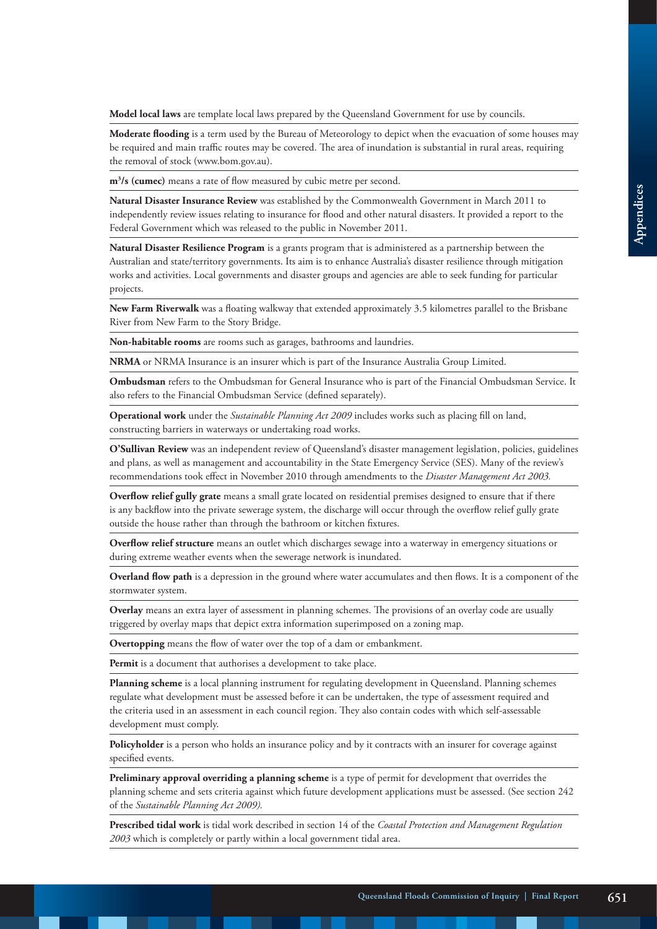**Model local laws** are template local laws prepared by the Queensland Government for use by councils.

**Moderate flooding** is a term used by the Bureau of Meteorology to depict when the evacuation of some houses may be required and main traffic routes may be covered. The area of inundation is substantial in rural areas, requiring the removal of stock (www.bom.gov.au).

**m3 /s (cumec)** means a rate of flow measured by cubic metre per second.

**Natural Disaster Insurance Review** was established by the Commonwealth Government in March 2011 to independently review issues relating to insurance for flood and other natural disasters. It provided a report to the Federal Government which was released to the public in November 2011.

**Natural Disaster Resilience Program** is a grants program that is administered as a partnership between the Australian and state/territory governments. Its aim is to enhance Australia's disaster resilience through mitigation works and activities. Local governments and disaster groups and agencies are able to seek funding for particular projects.

**New Farm Riverwalk** was a floating walkway that extended approximately 3.5 kilometres parallel to the Brisbane River from New Farm to the Story Bridge.

**Non-habitable rooms** are rooms such as garages, bathrooms and laundries.

**NRMA** or NRMA Insurance is an insurer which is part of the Insurance Australia Group Limited.

**Ombudsman** refers to the Ombudsman for General Insurance who is part of the Financial Ombudsman Service. It also refers to the Financial Ombudsman Service (defined separately).

**Operational work** under the *Sustainable Planning Act 2009* includes works such as placing fill on land, constructing barriers in waterways or undertaking road works.

**O'Sullivan Review** was an independent review of Queensland's disaster management legislation, policies, guidelines and plans, as well as management and accountability in the State Emergency Service (SES). Many of the review's recommendations took effect in November 2010 through amendments to the *Disaster Management Act 2003.* 

**Overflow relief gully grate** means a small grate located on residential premises designed to ensure that if there is any backflow into the private sewerage system, the discharge will occur through the overflow relief gully grate outside the house rather than through the bathroom or kitchen fixtures.

**Overflow relief structure** means an outlet which discharges sewage into a waterway in emergency situations or during extreme weather events when the sewerage network is inundated.

**Overland flow path** is a depression in the ground where water accumulates and then flows. It is a component of the stormwater system.

**Overlay** means an extra layer of assessment in planning schemes. The provisions of an overlay code are usually triggered by overlay maps that depict extra information superimposed on a zoning map.

**Overtopping** means the flow of water over the top of a dam or embankment.

Permit is a document that authorises a development to take place.

**Planning scheme** is a local planning instrument for regulating development in Queensland. Planning schemes regulate what development must be assessed before it can be undertaken, the type of assessment required and the criteria used in an assessment in each council region. They also contain codes with which self-assessable development must comply.

**Policyholder** is a person who holds an insurance policy and by it contracts with an insurer for coverage against specified events.

**Preliminary approval overriding a planning scheme** is a type of permit for development that overrides the planning scheme and sets criteria against which future development applications must be assessed. (See section 242 of the *Sustainable Planning Act 2009).*

**Prescribed tidal work** is tidal work described in section 14 of the *Coastal Protection and Management Regulation 2003* which is completely or partly within a local government tidal area.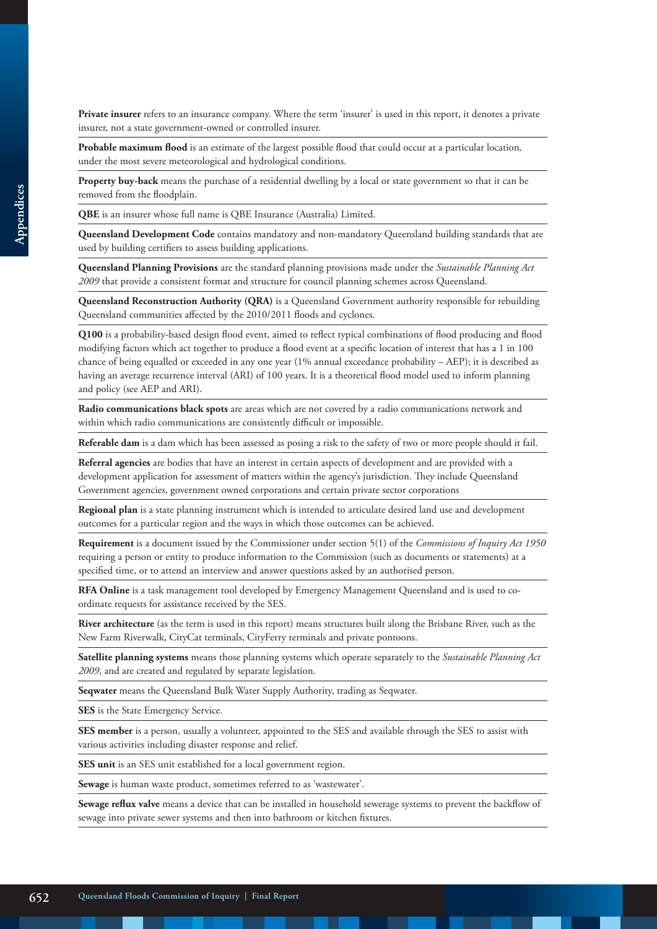**Private insurer** refers to an insurance company. Where the term 'insurer' is used in this report, it denotes a private insurer, not a state government-owned or controlled insurer.

**Probable maximum flood** is an estimate of the largest possible flood that could occur at a particular location*,*  under the most severe meteorological and hydrological conditions.

**Property buy-back** means the purchase of a residential dwelling by a local or state government so that it can be removed from the floodplain.

**QBE** is an insurer whose full name is QBE Insurance (Australia) Limited.

**Queensland Development Code** contains mandatory and non-mandatory Queensland building standards that are used by building certifiers to assess building applications.

**Queensland Planning Provisions** are the standard planning provisions made under the *Sustainable Planning Act 2009* that provide a consistent format and structure for council planning schemes across Queensland.

**Queensland Reconstruction Authority (QRA)** is a Queensland Government authority responsible for rebuilding Queensland communities affected by the 2010/2011 floods and cyclones.

**Q100** is a probability-based design flood event, aimed to reflect typical combinations of flood producing and flood modifying factors which act together to produce a flood event at a specific location of interest that has a 1 in 100 chance of being equalled or exceeded in any one year (1% annual exceedance probability – AEP); it is described as having an average recurrence interval (ARI) of 100 years. It is a theoretical flood model used to inform planning and policy (see AEP and ARI).

**Radio communications black spots** are areas which are not covered by a radio communications network and within which radio communications are consistently difficult or impossible.

**Referable dam** is a dam which has been assessed as posing a risk to the safety of two or more people should it fail.

**Referral agencies** are bodies that have an interest in certain aspects of development and are provided with a development application for assessment of matters within the agency's jurisdiction. They include Queensland Government agencies, government owned corporations and certain private sector corporations

**Regional plan** is a state planning instrument which is intended to articulate desired land use and development outcomes for a particular region and the ways in which those outcomes can be achieved.

**Requirement** is a document issued by the Commissioner under section 5(1) of the *Commissions of Inquiry Act 1950*  requiring a person or entity to produce information to the Commission (such as documents or statements) at a specified time, or to attend an interview and answer questions asked by an authorised person.

**RFA Online** is a task management tool developed by Emergency Management Queensland and is used to coordinate requests for assistance received by the SES.

**River architecture** (as the term is used in this report) means structures built along the Brisbane River, such as the New Farm Riverwalk, CityCat terminals, CityFerry terminals and private pontoons.

**Satellite planning systems** means those planning systems which operate separately to the *Sustainable Planning Act 2009*, and are created and regulated by separate legislation.

**Seqwater** means the Queensland Bulk Water Supply Authority, trading as Seqwater.

**SES** is the State Emergency Service.

**SES member** is a person, usually a volunteer, appointed to the SES and available through the SES to assist with various activities including disaster response and relief.

**SES unit** is an SES unit established for a local government region.

**Sewage** is human waste product, sometimes referred to as 'wastewater'.

**Sewage reflux valve** means a device that can be installed in household sewerage systems to prevent the backflow of sewage into private sewer systems and then into bathroom or kitchen fixtures.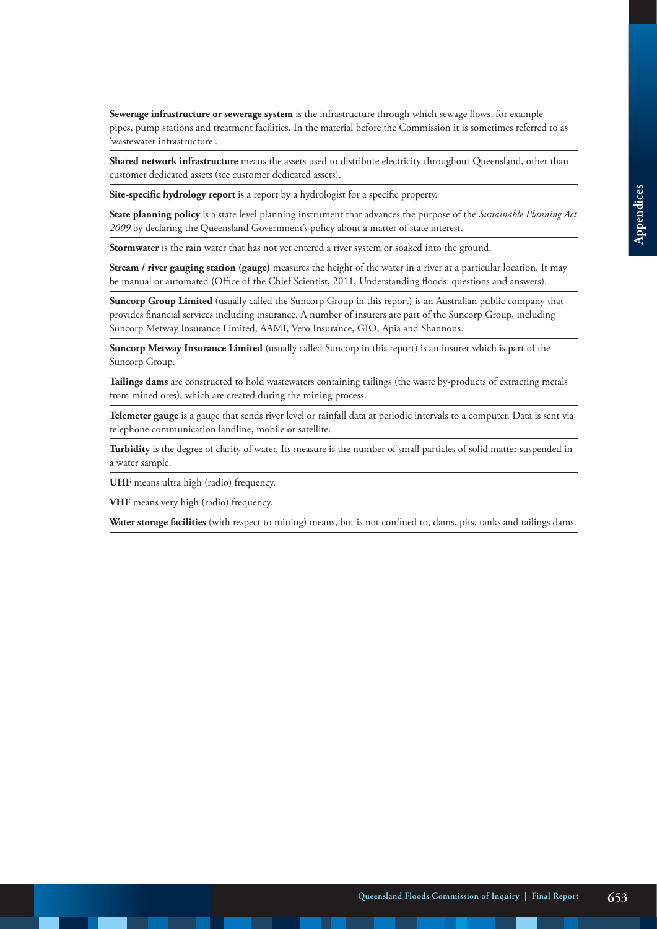Sewerage infrastructure or sewerage system is the infrastructure through which sewage flows, for example pipes, pump stations and treatment facilities. In the material before the Commission it is sometimes referred to as 'wastewater infrastructure'.

**Shared network infrastructure** means the assets used to distribute electricity throughout Queensland, other than customer dedicated assets (see customer dedicated assets).

**Site-specific hydrology report** is a report by a hydrologist for a specific property.

**State planning policy** is a state level planning instrument that advances the purpose of the *Sustainable Planning Act 2009* by declaring the Queensland Government's policy about a matter of state interest.

**Stormwater** is the rain water that has not yet entered a river system or soaked into the ground.

**Stream / river gauging station (gauge)** measures the height of the water in a river at a particular location. It may be manual or automated (Office of the Chief Scientist, 2011, Understanding floods: questions and answers).

**Suncorp Group Limited** (usually called the Suncorp Group in this report) is an Australian public company that provides financial services including insurance. A number of insurers are part of the Suncorp Group, including Suncorp Metway Insurance Limited, AAMI, Vero Insurance, GIO, Apia and Shannons.

**Suncorp Metway Insurance Limited** (usually called Suncorp in this report) is an insurer which is part of the Suncorp Group.

**Tailings dams** are constructed to hold wastewaters containing tailings (the waste by-products of extracting metals from mined ores), which are created during the mining process.

**Telemeter gauge** is a gauge that sends river level or rainfall data at periodic intervals to a computer. Data is sent via telephone communication landline, mobile or satellite.

**Turbidity** is the degree of clarity of water. Its measure is the number of small particles of solid matter suspended in a water sample.

**UHF** means ultra high (radio) frequency.

**VHF** means very high (radio) frequency.

**Water storage facilities** (with respect to mining) means, but is not confined to, dams, pits, tanks and tailings dams.